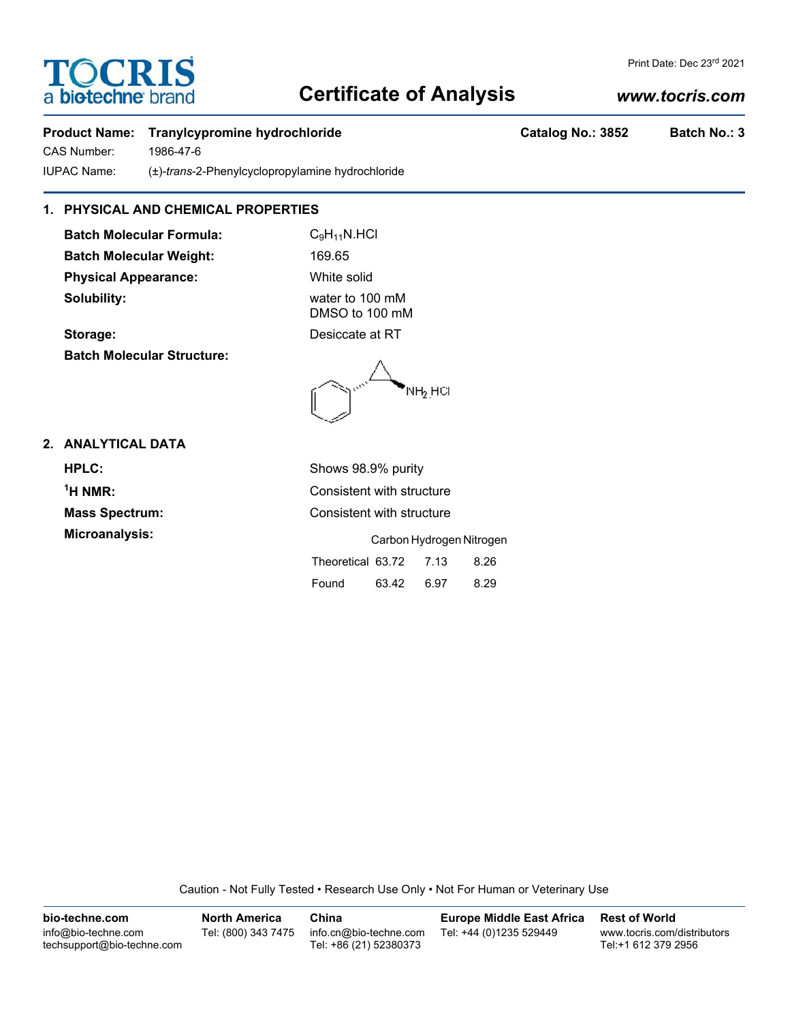# **TOCRIS** a **biotechne** bi

# **Certificate of Analysis**

# *www.tocris.com*

Print Date: Dec 23rd 2021

## **Product Name: Tranylcypromine hydrochloride Catalog No.: 3852 Batch No.: 3**

CAS Number: 1986-47-6 IUPAC Name: (±)-*trans*-2-Phenylcyclopropylamine hydrochloride

## **1. PHYSICAL AND CHEMICAL PROPERTIES**

**Batch Molecular Formula:** C<sub>9</sub>H<sub>11</sub>N.HCl Batch Molecular Weight: 169.65 **Physical Appearance:** White solid **Solubility:** water to 100 mM

DMSO to 100 mM

**Storage:** Desiccate at RT **Batch Molecular Structure:**

NH<sub>2.</sub>HCl

### **2. ANALYTICAL DATA**

<sup>1</sup>H NMR:

**HPLC:** Shows 98.9% purity **Consistent with structure Mass Spectrum:** Consistent with structure **Microanalysis:** Carbon Hydrogen Nitrogen Theoretical 63.72 7.13 8.26 Found 63.42 6.97 8.29

Caution - Not Fully Tested • Research Use Only • Not For Human or Veterinary Use